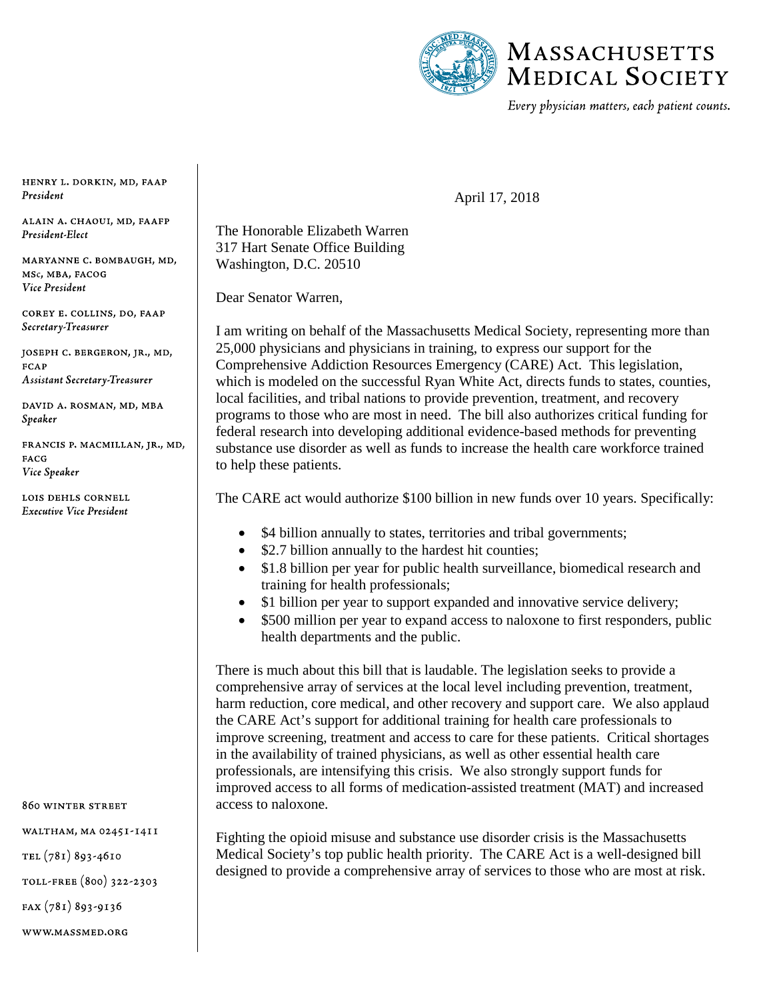

Every physician matters, each patient counts.

April 17, 2018

HENRY L. DORKIN, MD, FAAP President

ALAIN A. CHAOUI, MD, FAAFP President-Elect

MARYANNE C. BOMBAUGH, MD, MSc, MBA, FACOG Vice President

COREY E. COLLINS, DO, FAAP Secretary-Treasurer

JOSEPH C. BERGERON, JR., MD, **FCAP Assistant Secretary-Treasurer** 

DAVID A. ROSMAN, MD, MBA Speaker

FRANCIS P. MACMILLAN, JR., MD, **FACG** Vice Speaker

LOIS DEHLS CORNELL **Executive Vice President** 

860 WINTER STREET

WALTHAM, MA 02451-1411

TEL (781) 893-4610

TOLL-FREE (800) 322-2303

 $FAX(781)893-9136$ 

WWW.MASSMED.ORG

## The Honorable Elizabeth Warren 317 Hart Senate Office Building Washington, D.C. 20510

Dear Senator Warren,

I am writing on behalf of the Massachusetts Medical Society, representing more than 25,000 physicians and physicians in training, to express our support for the Comprehensive Addiction Resources Emergency (CARE) Act. This legislation, which is modeled on the successful Ryan White Act, directs funds to states, counties, local facilities, and tribal nations to provide prevention, treatment, and recovery programs to those who are most in need. The bill also authorizes critical funding for federal research into developing additional evidence-based methods for preventing substance use disorder as well as funds to increase the health care workforce trained to help these patients.

The CARE act would authorize \$100 billion in new funds over 10 years. Specifically:

- \$4 billion annually to states, territories and tribal governments;
- \$2.7 billion annually to the hardest hit counties;
- \$1.8 billion per year for public health surveillance, biomedical research and training for health professionals;
- \$1 billion per year to support expanded and innovative service delivery;
- \$500 million per year to expand access to naloxone to first responders, public health departments and the public.

There is much about this bill that is laudable. The legislation seeks to provide a comprehensive array of services at the local level including prevention, treatment, harm reduction, core medical, and other recovery and support care. We also applaud the CARE Act's support for additional training for health care professionals to improve screening, treatment and access to care for these patients. Critical shortages in the availability of trained physicians, as well as other essential health care professionals, are intensifying this crisis. We also strongly support funds for improved access to all forms of medication-assisted treatment (MAT) and increased access to naloxone.

Fighting the opioid misuse and substance use disorder crisis is the Massachusetts Medical Society's top public health priority. The CARE Act is a well-designed bill designed to provide a comprehensive array of services to those who are most at risk.